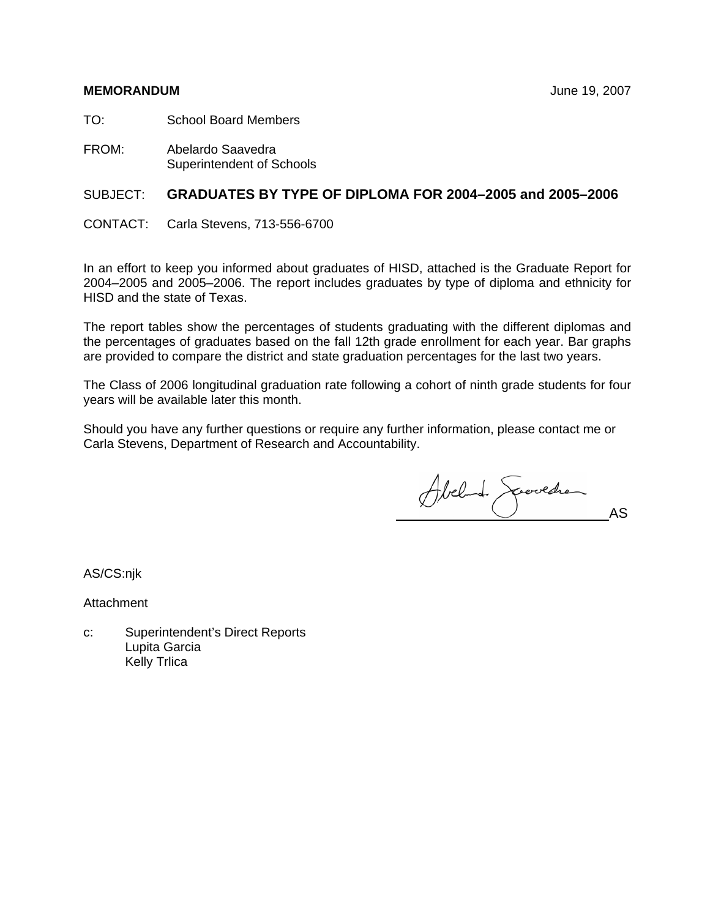#### **MEMORANDUM** June 19, 2007

TO: School Board Members

FROM: Abelardo Saavedra Superintendent of Schools

## SUBJECT: **GRADUATES BY TYPE OF DIPLOMA FOR 2004–2005 and 2005–2006**

CONTACT: Carla Stevens, 713-556-6700

In an effort to keep you informed about graduates of HISD, attached is the Graduate Report for 2004–2005 and 2005–2006. The report includes graduates by type of diploma and ethnicity for HISD and the state of Texas.

The report tables show the percentages of students graduating with the different diplomas and the percentages of graduates based on the fall 12th grade enrollment for each year. Bar graphs are provided to compare the district and state graduation percentages for the last two years.

The Class of 2006 longitudinal graduation rate following a cohort of ninth grade students for four years will be available later this month.

Should you have any further questions or require any further information, please contact me or Carla Stevens, Department of Research and Accountability.

Abel de Spervedre

AS/CS:njk

Attachment

c: Superintendent's Direct Reports Lupita Garcia Kelly Trlica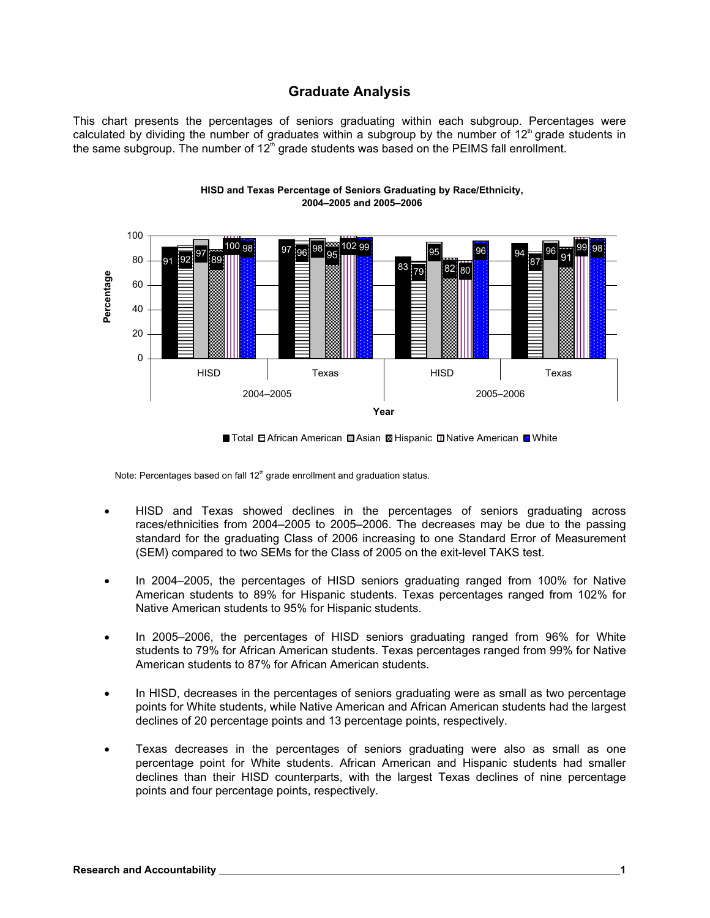## **Graduate Analysis**

This chart presents the percentages of seniors graduating within each subgroup. Percentages were calculated by dividing the number of graduates within a subgroup by the number of  $12<sup>th</sup>$  grade students in the same subgroup. The number of  $12<sup>th</sup>$  grade students was based on the PEIMS fall enrollment.





Note: Percentages based on fall  $12<sup>th</sup>$  grade enrollment and graduation status.

- HISD and Texas showed declines in the percentages of seniors graduating across races/ethnicities from 2004–2005 to 2005–2006. The decreases may be due to the passing standard for the graduating Class of 2006 increasing to one Standard Error of Measurement (SEM) compared to two SEMs for the Class of 2005 on the exit-level TAKS test.
- In 2004–2005, the percentages of HISD seniors graduating ranged from 100% for Native American students to 89% for Hispanic students. Texas percentages ranged from 102% for Native American students to 95% for Hispanic students.
- In 2005–2006, the percentages of HISD seniors graduating ranged from 96% for White students to 79% for African American students. Texas percentages ranged from 99% for Native American students to 87% for African American students.
- In HISD, decreases in the percentages of seniors graduating were as small as two percentage points for White students, while Native American and African American students had the largest declines of 20 percentage points and 13 percentage points, respectively.
- Texas decreases in the percentages of seniors graduating were also as small as one percentage point for White students. African American and Hispanic students had smaller declines than their HISD counterparts, with the largest Texas declines of nine percentage points and four percentage points, respectively.

<sup>■</sup> Total 日 African American ■ Asian ■ Hispanic ■ Native American ■ White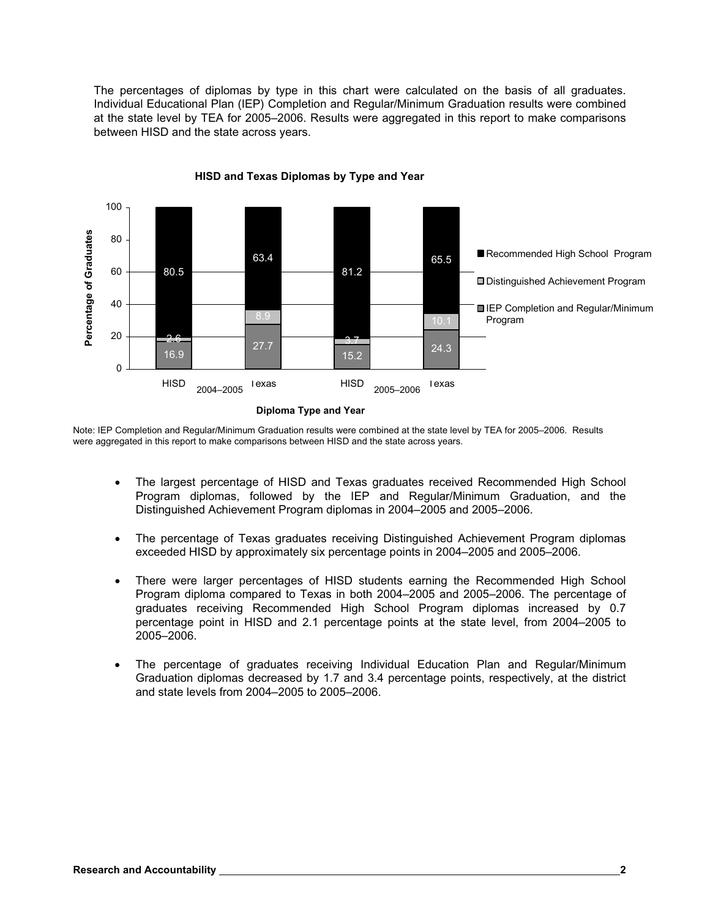The percentages of diplomas by type in this chart were calculated on the basis of all graduates. Individual Educational Plan (IEP) Completion and Regular/Minimum Graduation results were combined at the state level by TEA for 2005–2006. Results were aggregated in this report to make comparisons between HISD and the state across years.



**HISD and Texas Diplomas by Type and Year**

Note: IEP Completion and Regular/Minimum Graduation results were combined at the state level by TEA for 2005–2006. Results were aggregated in this report to make comparisons between HISD and the state across years.

- The largest percentage of HISD and Texas graduates received Recommended High School Program diplomas, followed by the IEP and Regular/Minimum Graduation, and the Distinguished Achievement Program diplomas in 2004–2005 and 2005–2006.
- The percentage of Texas graduates receiving Distinguished Achievement Program diplomas exceeded HISD by approximately six percentage points in 2004–2005 and 2005–2006.
- There were larger percentages of HISD students earning the Recommended High School Program diploma compared to Texas in both 2004–2005 and 2005–2006. The percentage of graduates receiving Recommended High School Program diplomas increased by 0.7 percentage point in HISD and 2.1 percentage points at the state level, from 2004–2005 to 2005–2006.
- The percentage of graduates receiving Individual Education Plan and Regular/Minimum Graduation diplomas decreased by 1.7 and 3.4 percentage points, respectively, at the district and state levels from 2004–2005 to 2005–2006.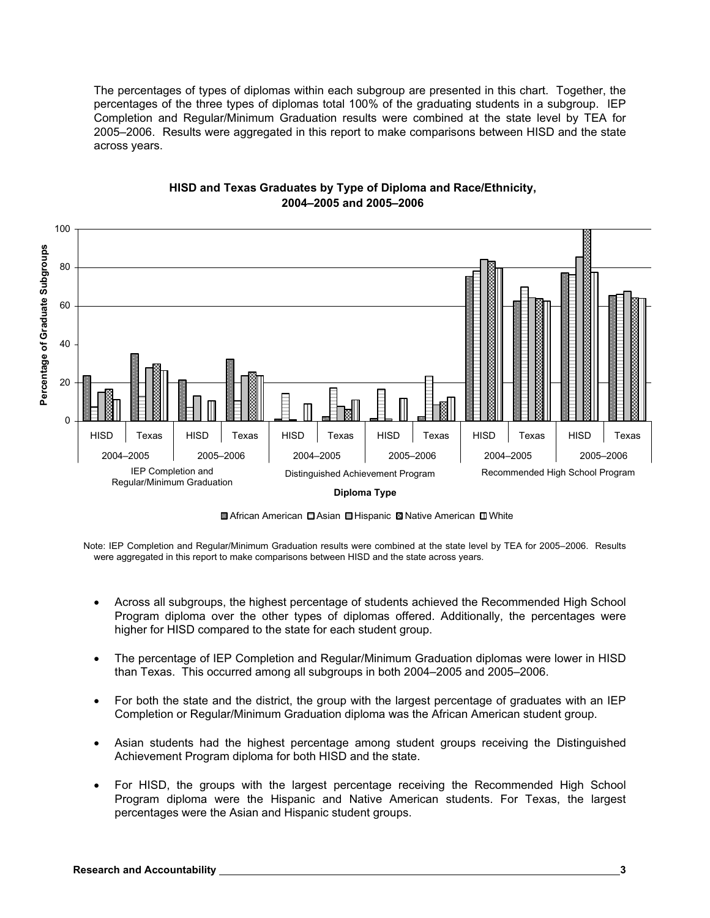The percentages of types of diplomas within each subgroup are presented in this chart. Together, the percentages of the three types of diplomas total 100% of the graduating students in a subgroup. IEP Completion and Regular/Minimum Graduation results were combined at the state level by TEA for 2005–2006. Results were aggregated in this report to make comparisons between HISD and the state across years.



#### **HISD and Texas Graduates by Type of Diploma and Race/Ethnicity, 2004–2005 and 2005–2006**

■ African American ■ Asian ■ Hispanic ■ Native American ■ White

Note: IEP Completion and Regular/Minimum Graduation results were combined at the state level by TEA for 2005–2006. Results were aggregated in this report to make comparisons between HISD and the state across years.

- Across all subgroups, the highest percentage of students achieved the Recommended High School Program diploma over the other types of diplomas offered. Additionally, the percentages were higher for HISD compared to the state for each student group.
- The percentage of IEP Completion and Regular/Minimum Graduation diplomas were lower in HISD than Texas. This occurred among all subgroups in both 2004–2005 and 2005–2006.
- For both the state and the district, the group with the largest percentage of graduates with an IEP Completion or Regular/Minimum Graduation diploma was the African American student group.
- Asian students had the highest percentage among student groups receiving the Distinguished Achievement Program diploma for both HISD and the state.
- For HISD, the groups with the largest percentage receiving the Recommended High School Program diploma were the Hispanic and Native American students. For Texas, the largest percentages were the Asian and Hispanic student groups.